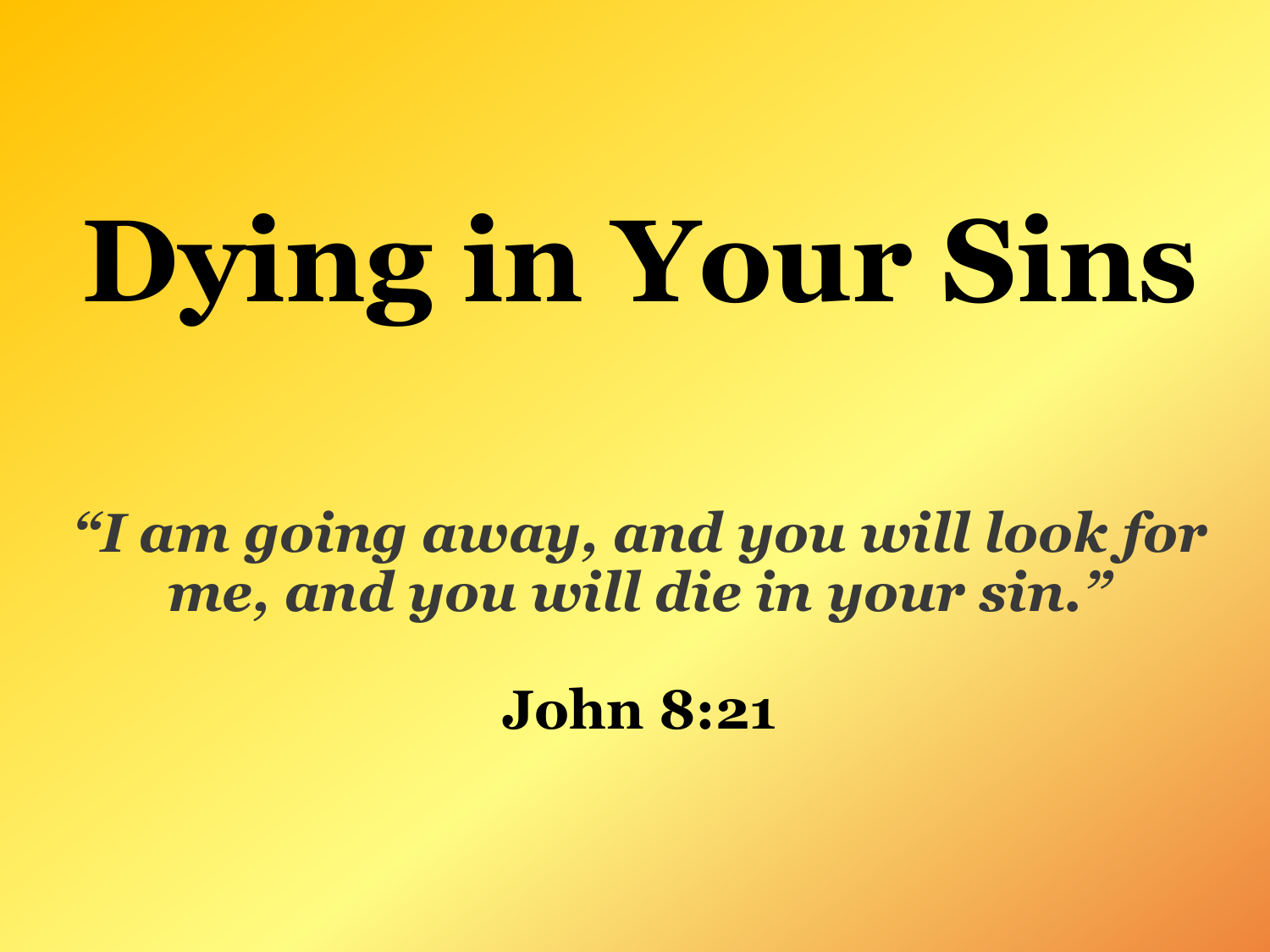# **Dying in Your Sins**

#### *"I am going away, and you will look for me, and you will die in your sin."*

**John 8:21**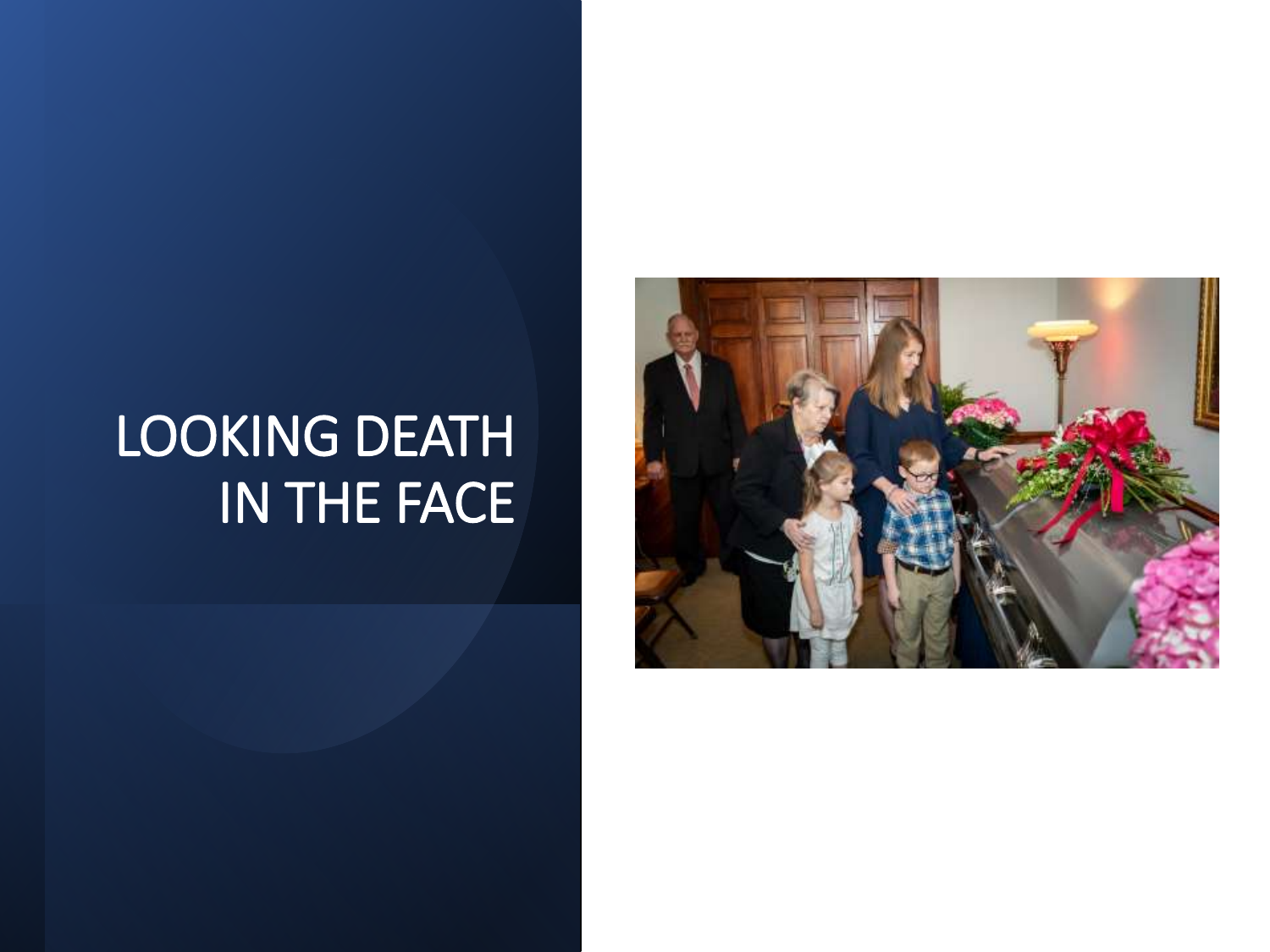### LOOKING DEATH IN THE FACE

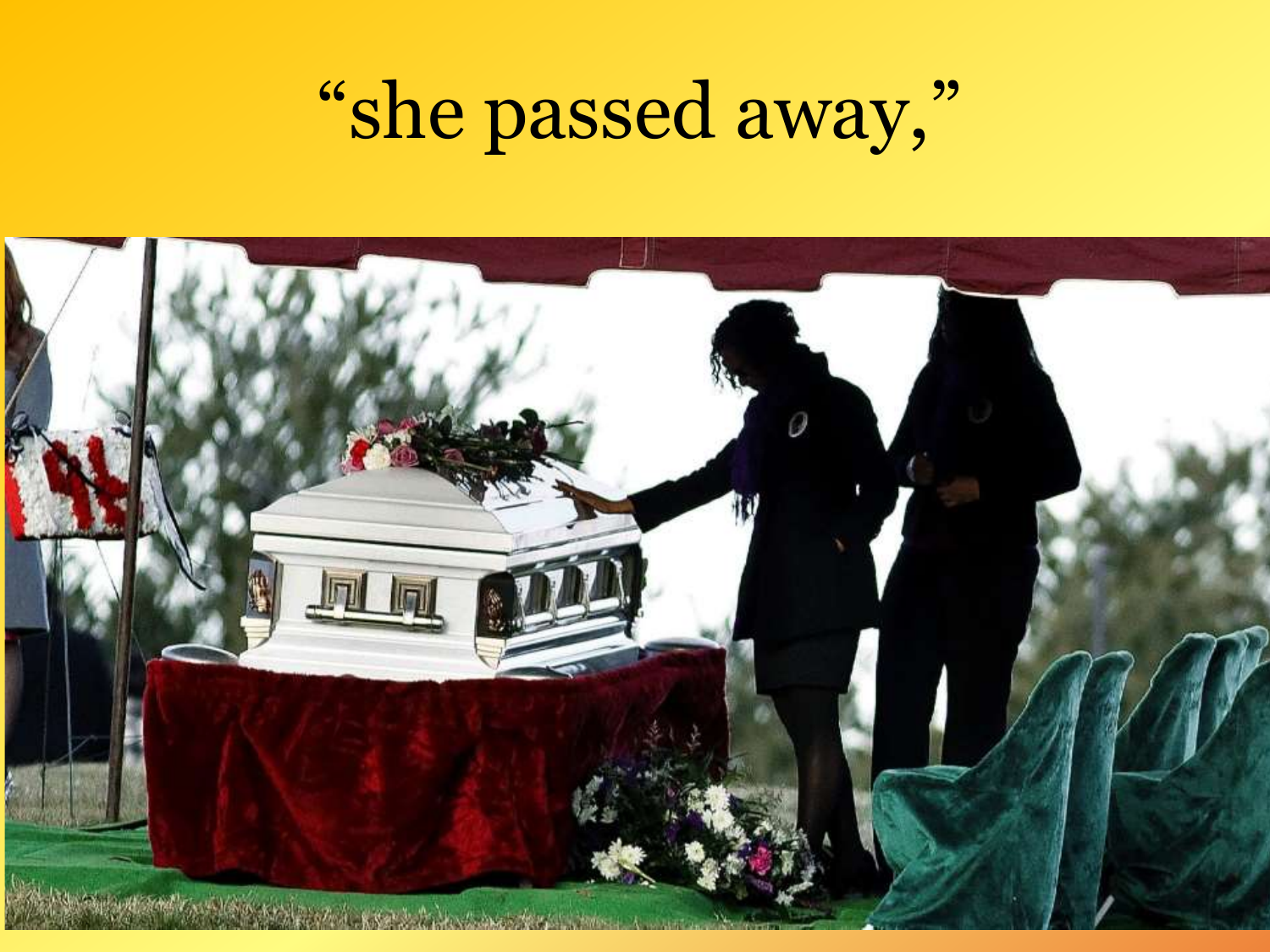# "she passed away,"

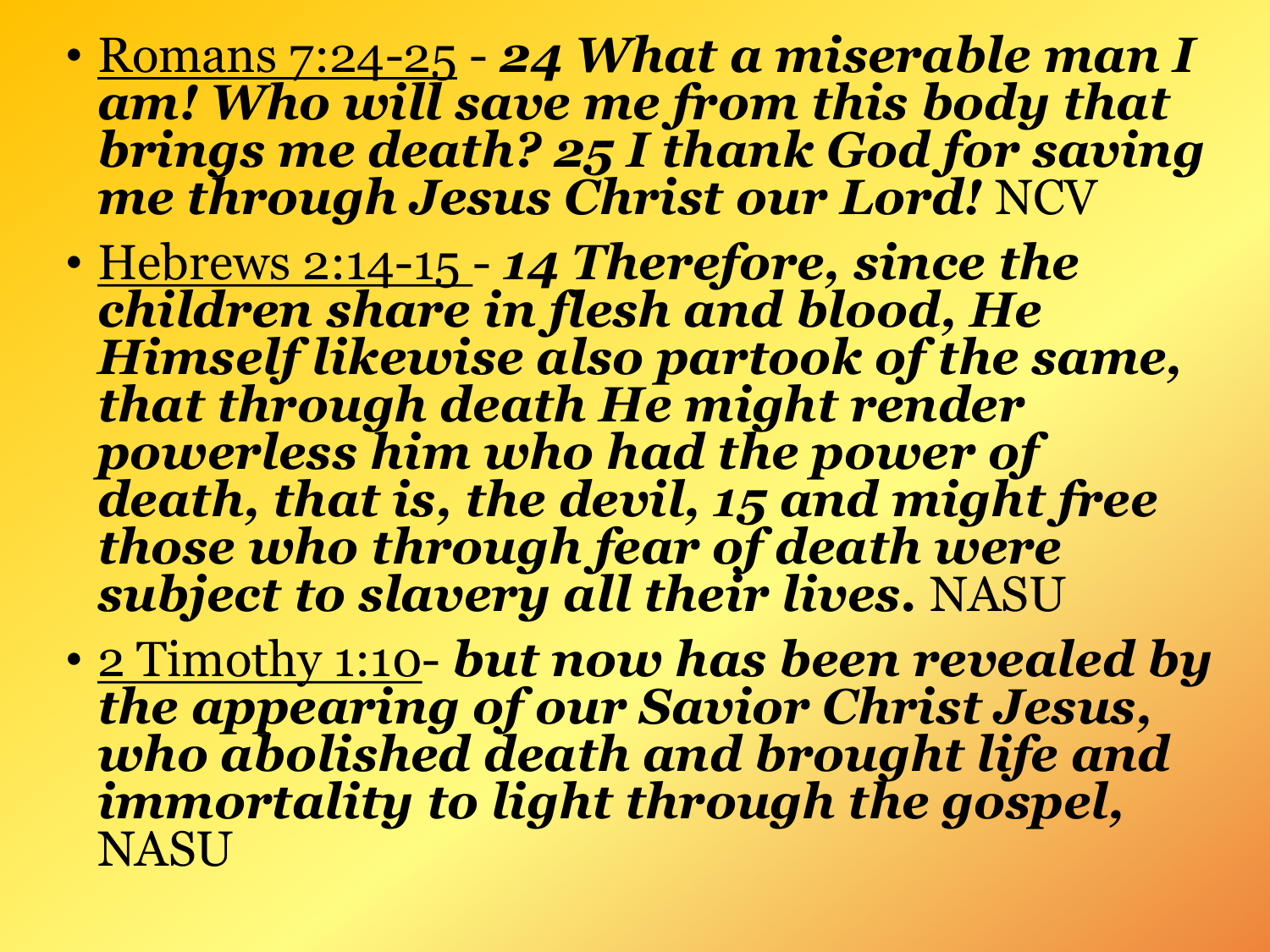- Romans 7:24-25 *24 What a miserable man I am! Who will save me from this body that brings me death? 25 I thank God for saving me through Jesus Christ our Lord!* NCV
- Hebrews 2:14-15 *14 Therefore, since the children share in flesh and blood, He Himself likewise also partook of the same, that through death He might render powerless him who had the power of death, that is, the devil, 15 and might free those who through fear of death were subject to slavery all their lives.* NASU
- 2 Timothy 1:10- *but now has been revealed by the appearing of our Savior Christ Jesus, who abolished death and brought life and immortality to light through the gospel,*  NASU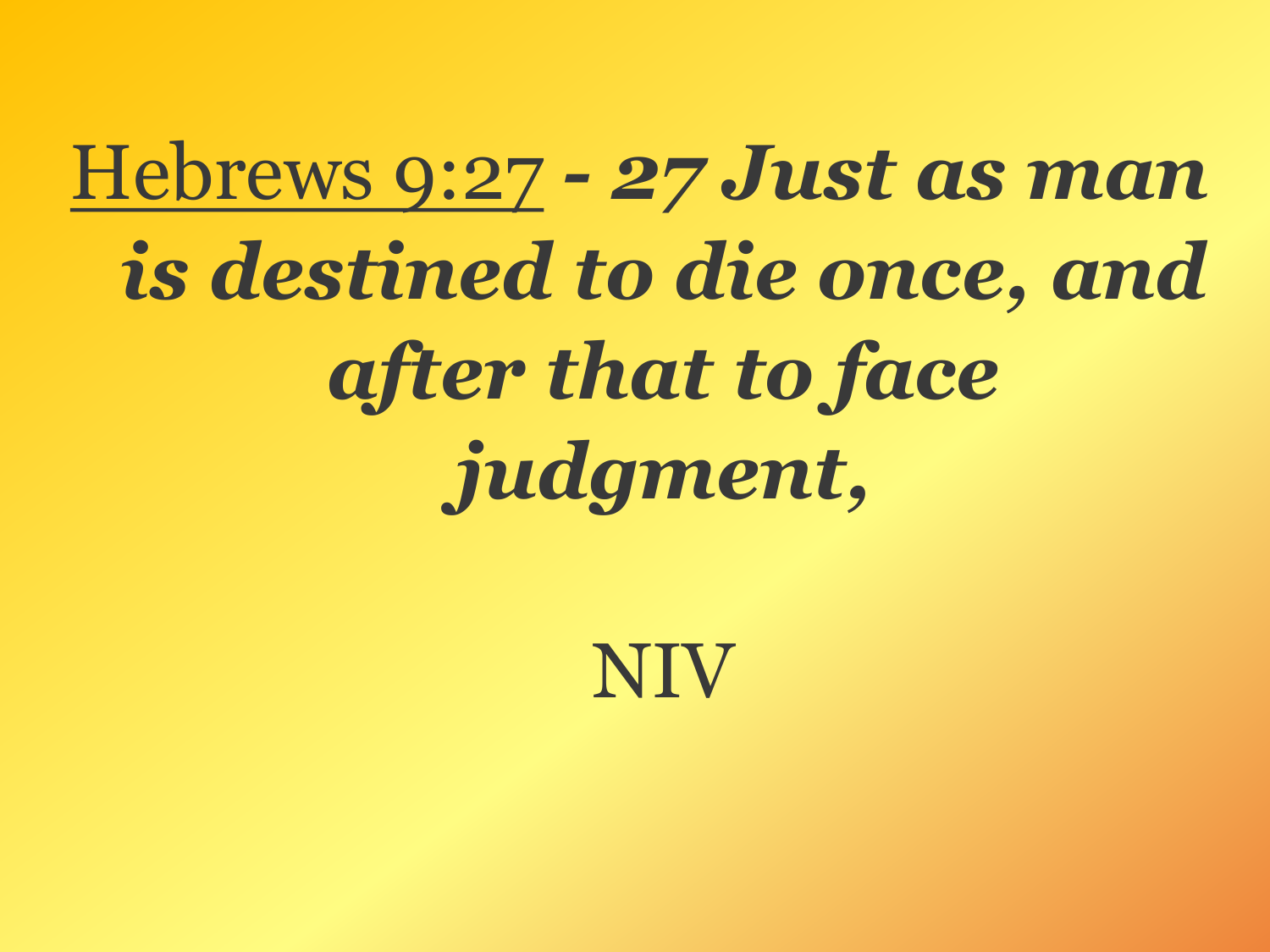# Hebrews 9:27 *- 27 Just as man is destined to die once, and after that to face judgment,*

NIV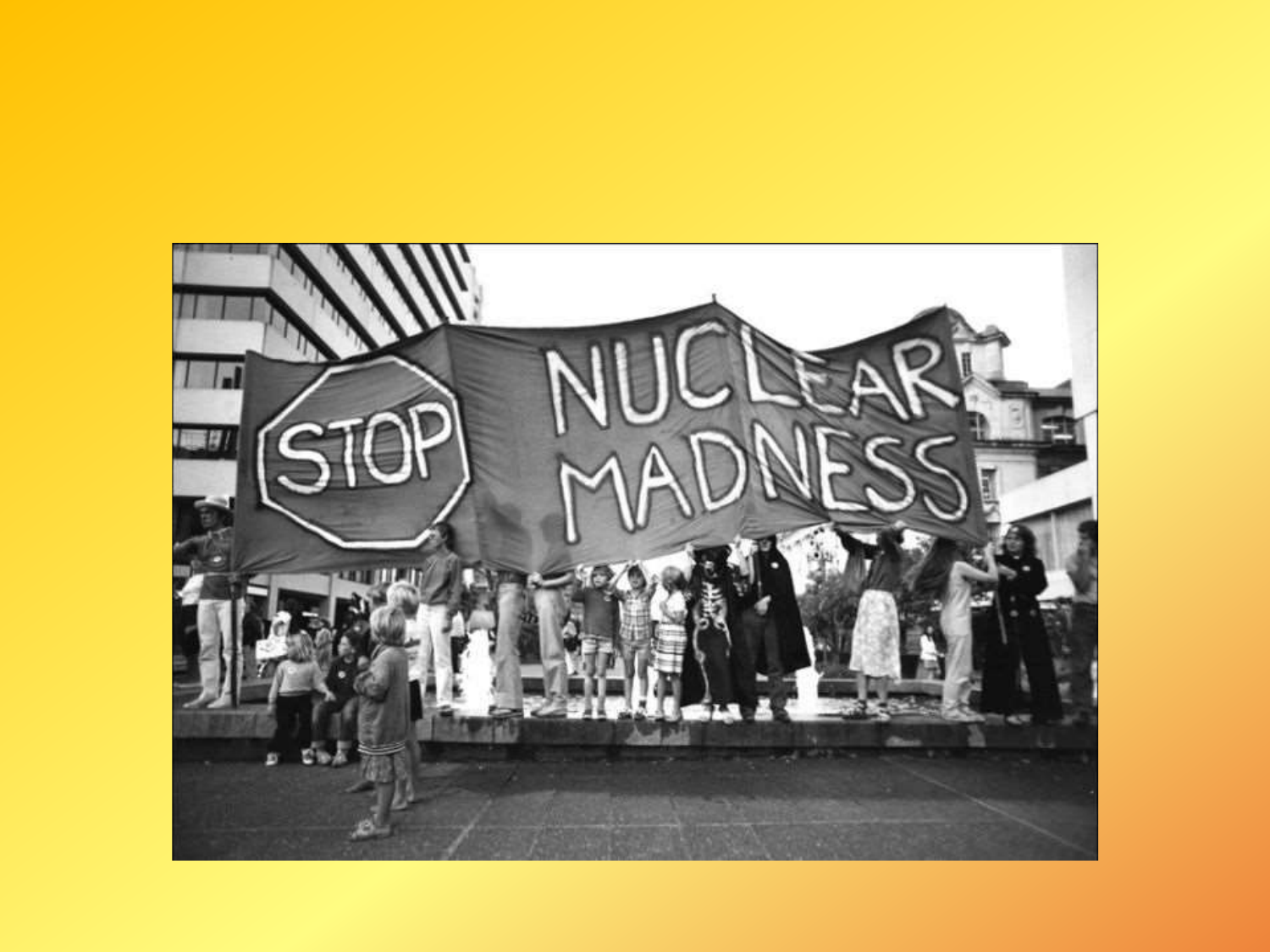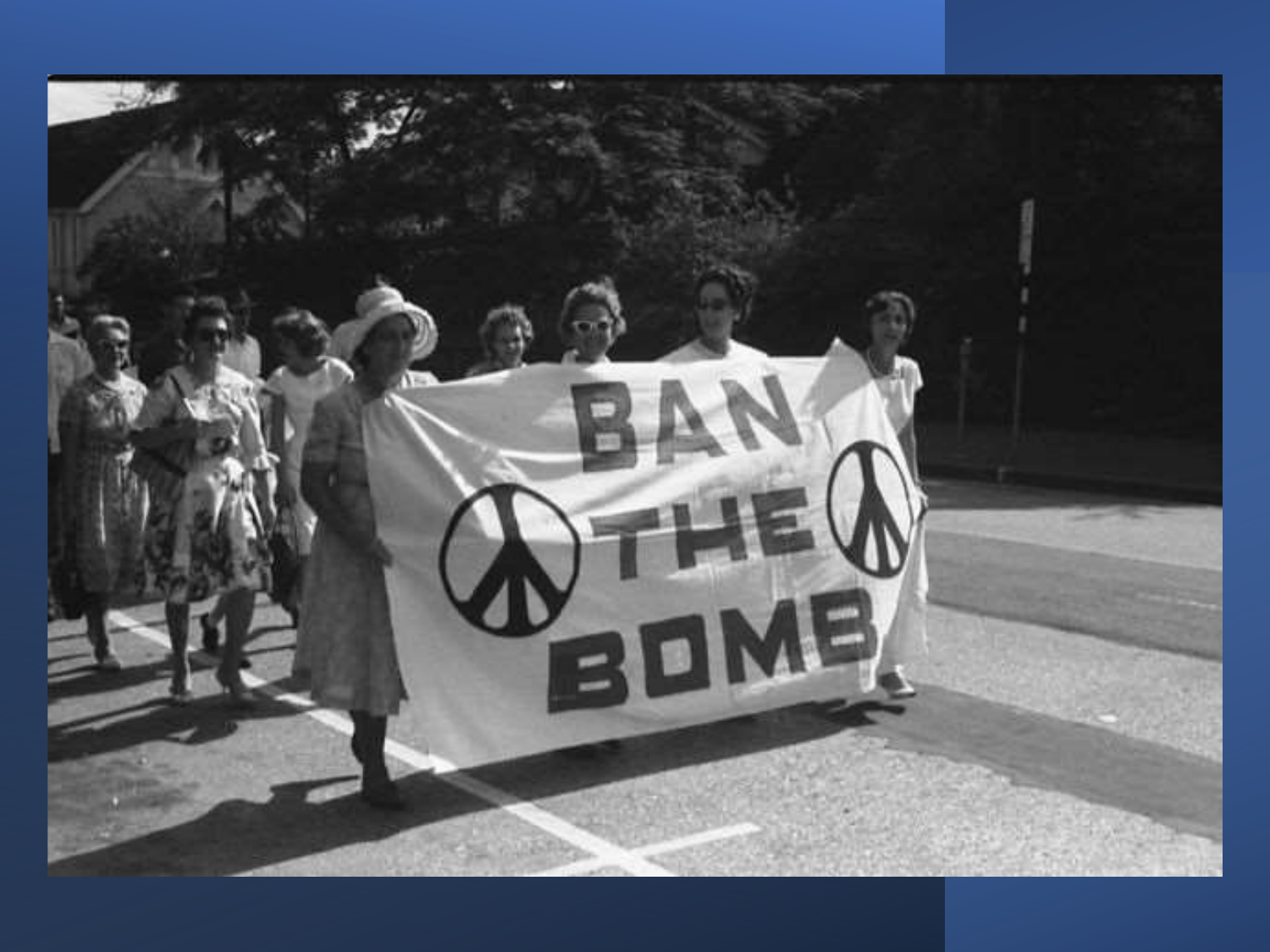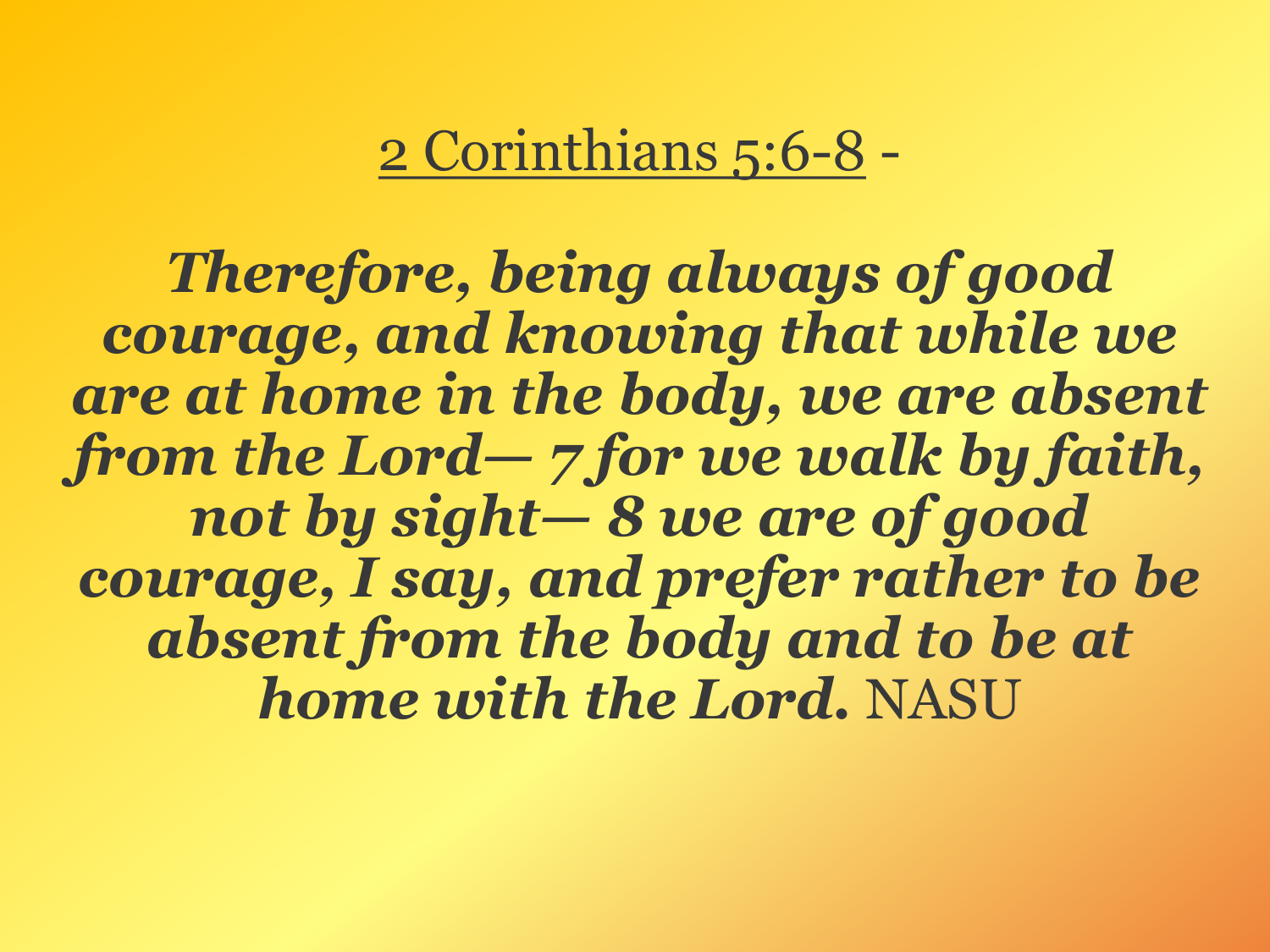#### 2 Corinthians 5:6-8 -

*Therefore, being always of good courage, and knowing that while we are at home in the body, we are absent from the Lord— 7 for we walk by faith, not by sight— 8 we are of good courage, I say, and prefer rather to be absent from the body and to be at home with the Lord.* NASU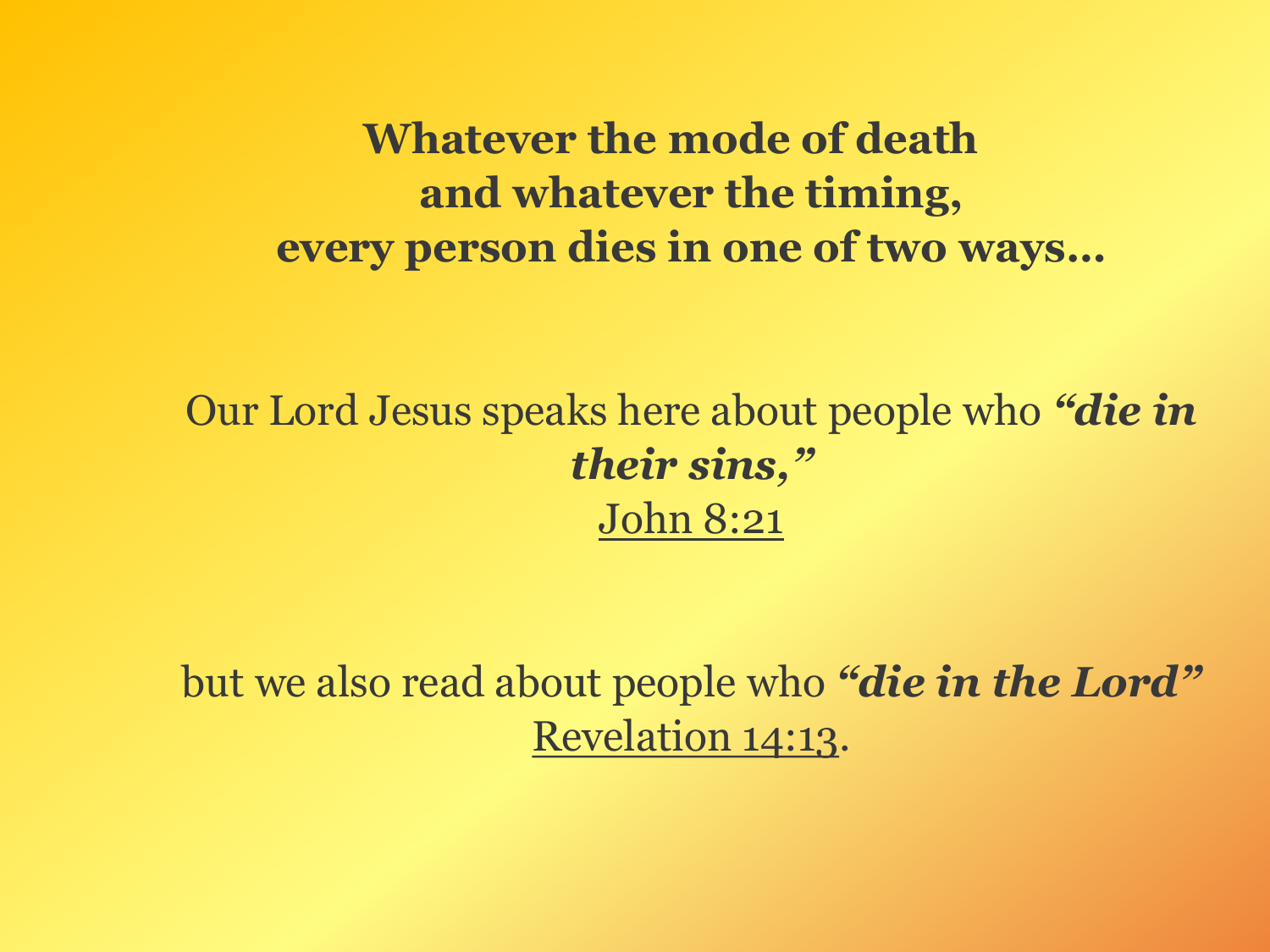**Whatever the mode of death and whatever the timing, every person dies in one of two ways…**

Our Lord Jesus speaks here about people who *"die in their sins,"* John 8:21

but we also read about people who *"die in the Lord"* Revelation 14:13.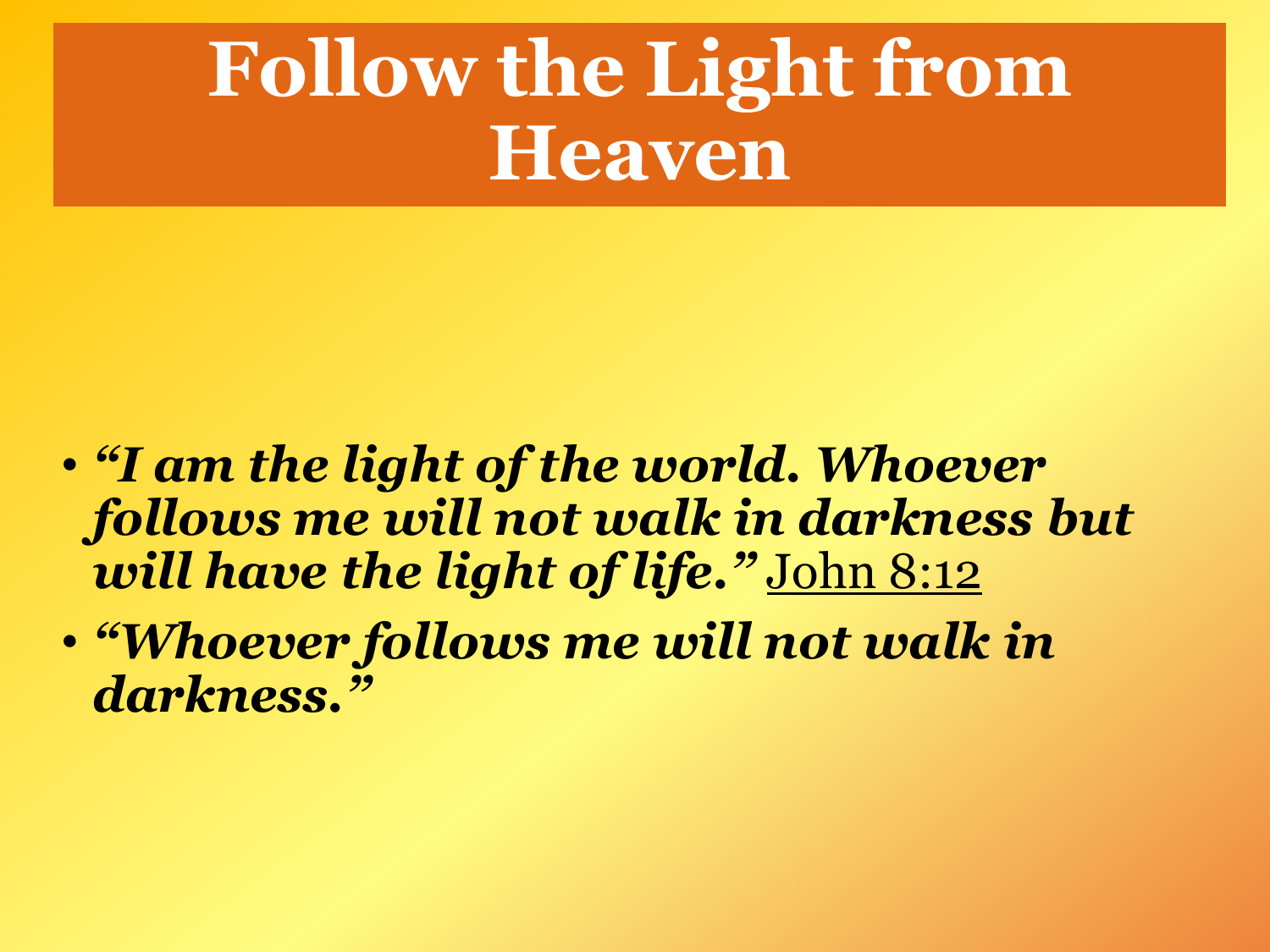## **Follow the Light from Heaven**

- *"I am the light of the world. Whoever follows me will not walk in darkness but will have the light of life."* John 8:12
- *"Whoever follows me will not walk in darkness."*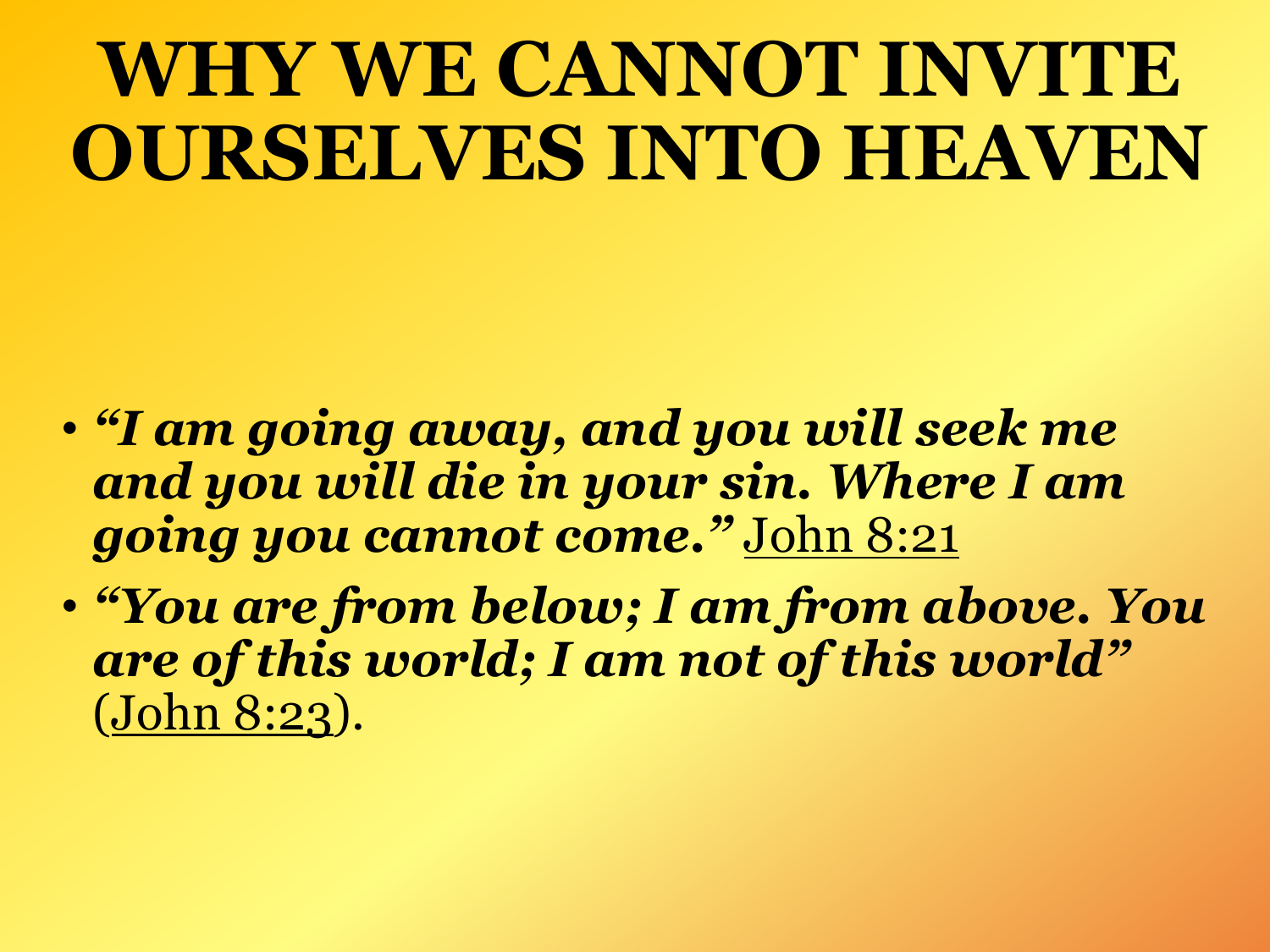## **WHY WE CANNOT INVITE OURSELVES INTO HEAVEN**

- *"I am going away, and you will seek me and you will die in your sin. Where I am going you cannot come."* John 8:21
- *"You are from below; I am from above. You are of this world; I am not of this world"* (John 8:23).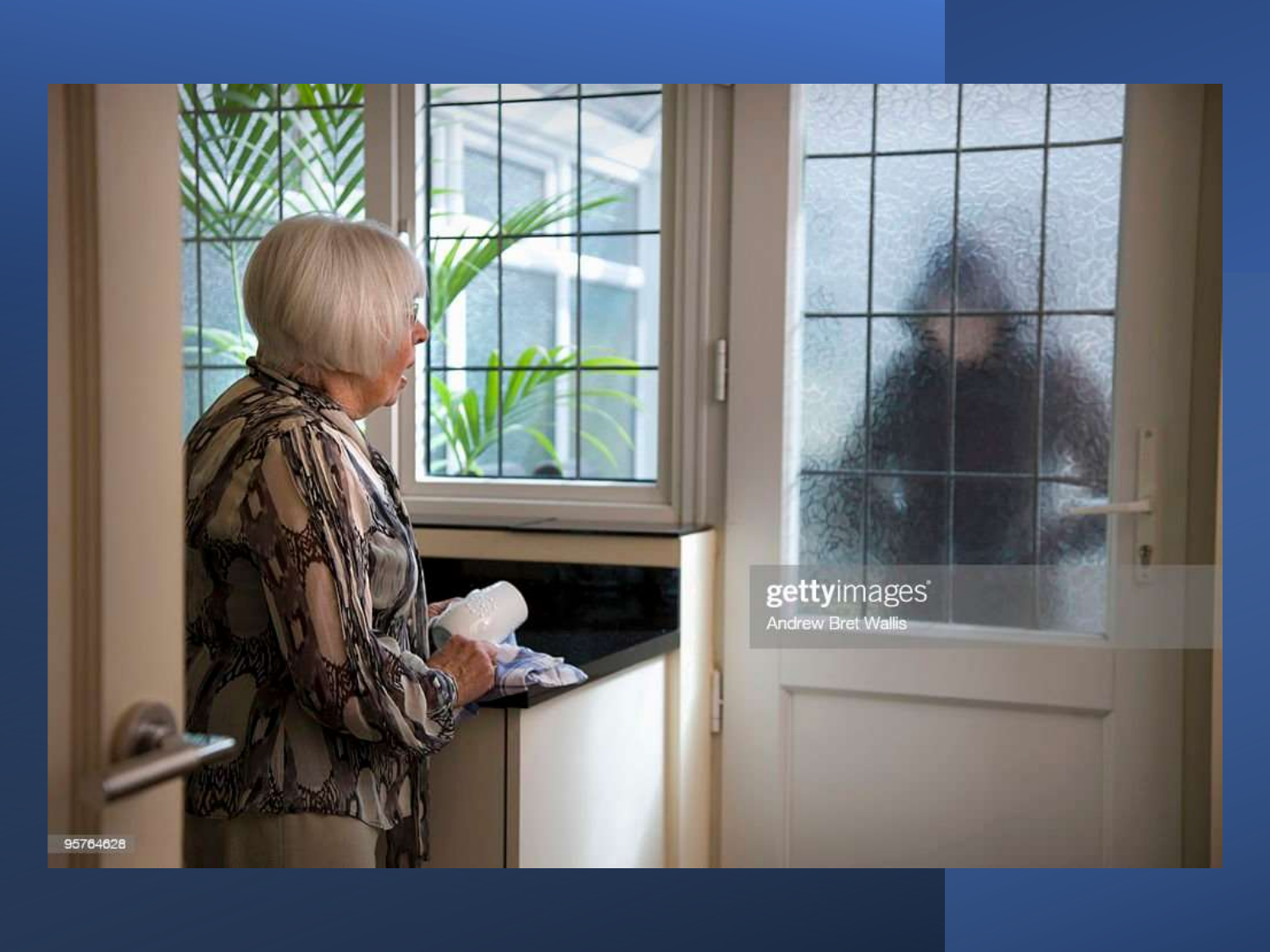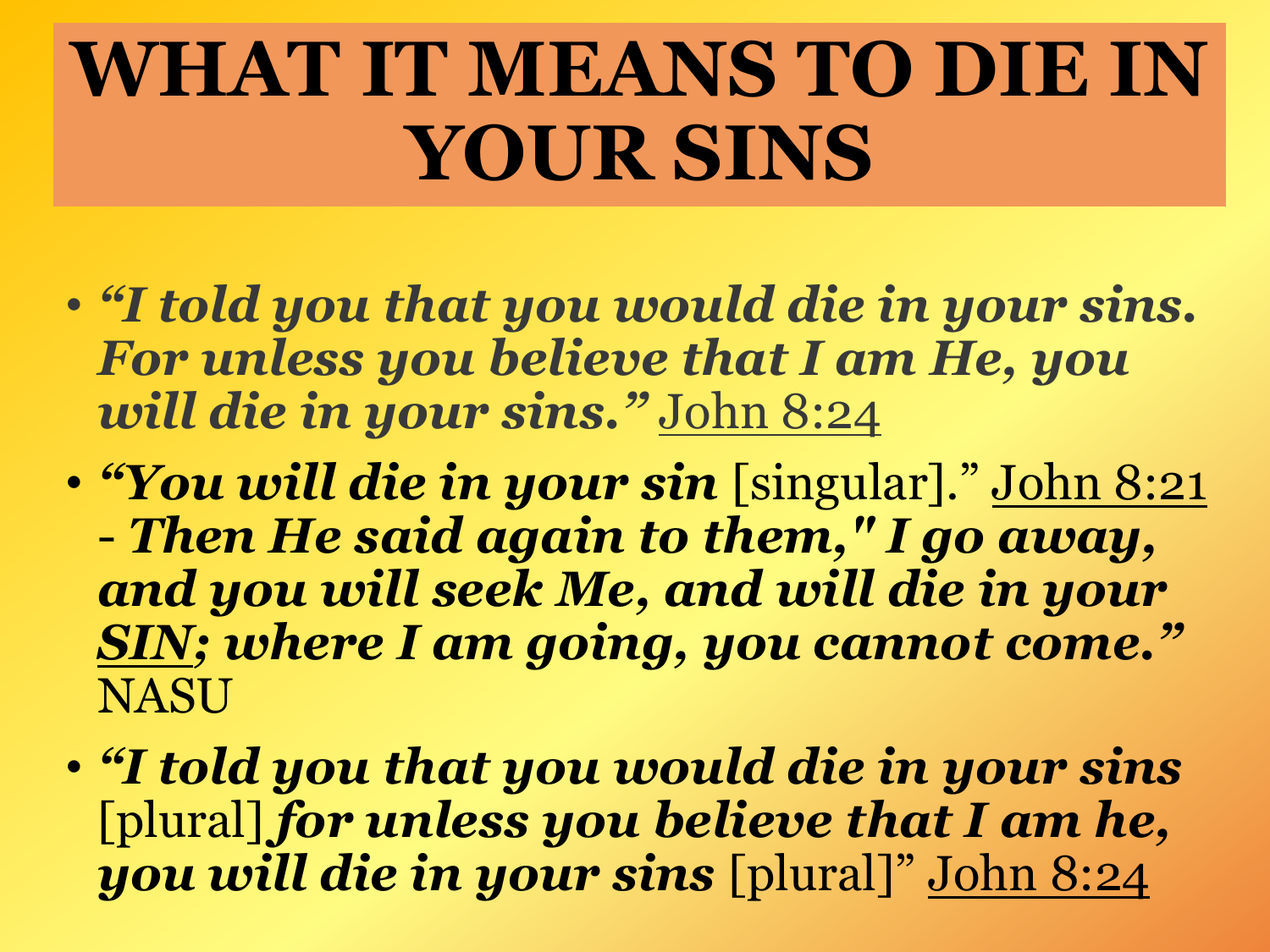## **WHAT IT MEANS TO DIE IN YOUR SINS**

- *"I told you that you would die in your sins. For unless you believe that I am He, you will die in your sins."* John 8:24
- *"You will die in your sin* [singular]." John 8:21 - *Then He said again to them," I go away, and you will seek Me, and will die in your SIN; where I am going, you cannot come."*  **NASU**
- *"I told you that you would die in your sins* [plural] *for unless you believe that I am he, you will die in your sins* [plural]" John 8:24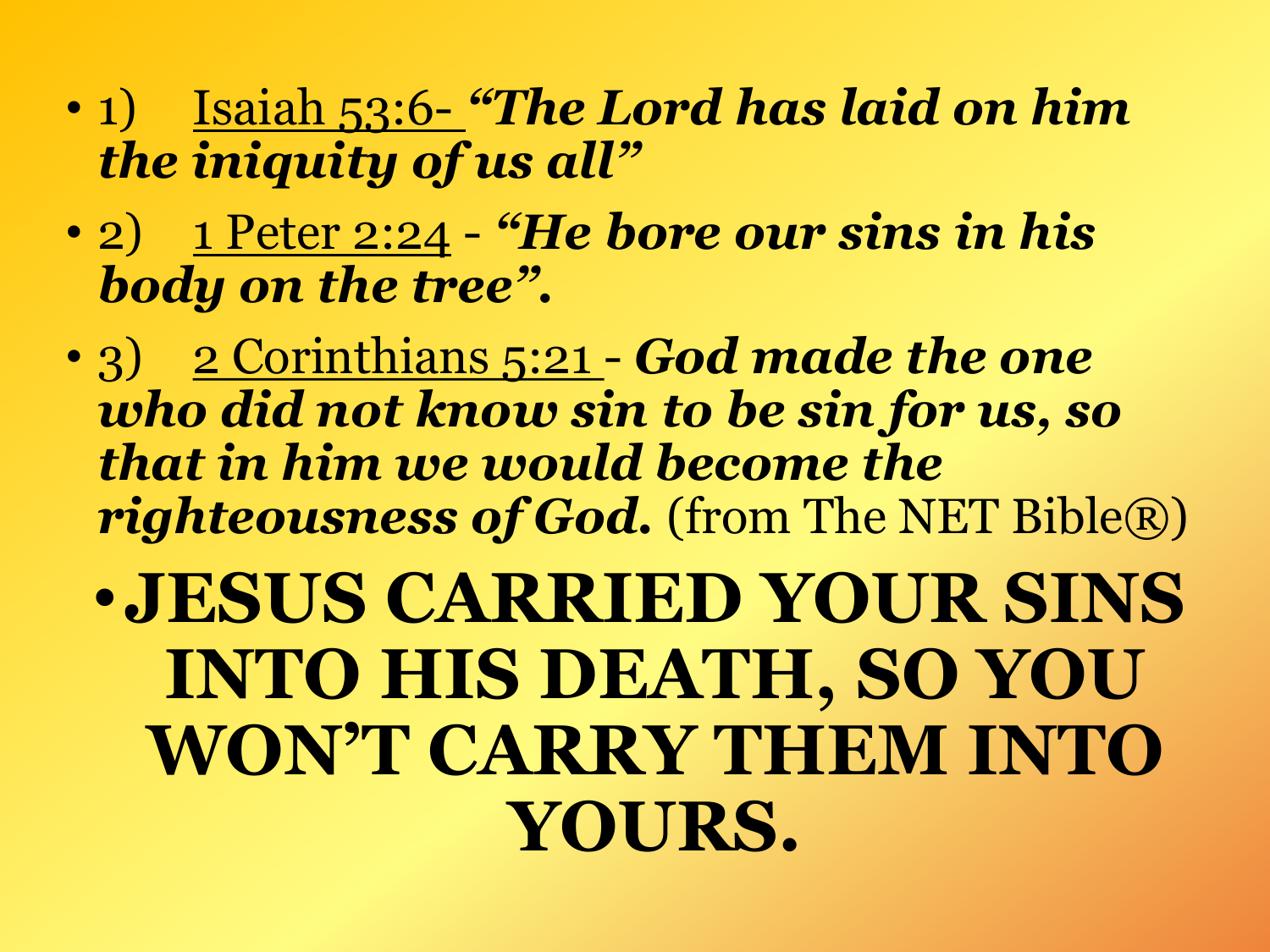- 1) Isaiah 53:6- *"The Lord has laid on him the iniquity of us all"*
- 2) 1 Peter 2:24 *"He bore our sins in his body on the tree".*
- 3) 2 Corinthians 5:21 *God made the one who did not know sin to be sin for us, so that in him we would become the righteousness of God.* (from The NET Bible®)
	- •**JESUS CARRIED YOUR SINS INTO HIS DEATH, SO YOU WON'T CARRY THEM INTO YOURS.**